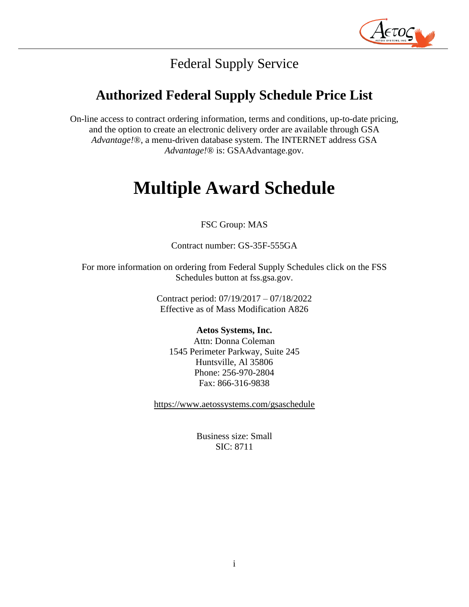

# Federal Supply Service

# **Authorized Federal Supply Schedule Price List**

On-line access to contract ordering information, terms and conditions, up-to-date pricing, and the option to create an electronic delivery order are available through GSA *Advantage!*®, a menu-driven database system. The INTERNET address GSA *Advantage!*® is: GSAAdvantage.gov.

# **Multiple Award Schedule**

# FSC Group: MAS

Contract number: GS-35F-555GA

For more information on ordering from Federal Supply Schedules click on the FSS Schedules button at fss.gsa.gov.

> Contract period: 07/19/2017 – 07/18/2022 Effective as of Mass Modification A826

#### **Aetos Systems, Inc.**

Attn: Donna Coleman 1545 Perimeter Parkway, Suite 245 Huntsville, Al 35806 Phone: 256-970-2804 Fax: 866-316-9838

<https://www.aetossystems.com/gsaschedule>

Business size: Small SIC: 8711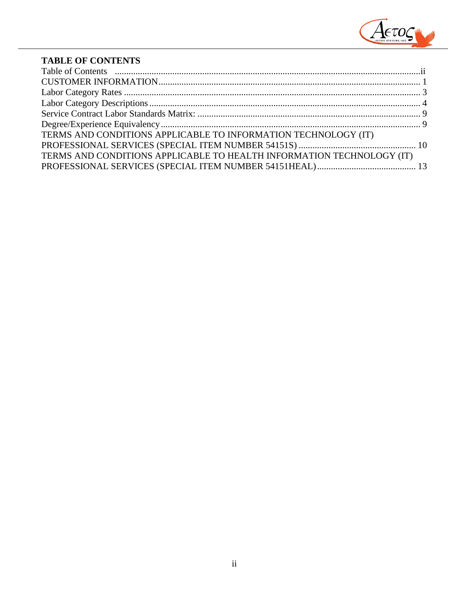

# **TABLE OF CONTENTS**

| TERMS AND CONDITIONS APPLICABLE TO INFORMATION TECHNOLOGY (IT)        |  |
|-----------------------------------------------------------------------|--|
|                                                                       |  |
| TERMS AND CONDITIONS APPLICABLE TO HEALTH INFORMATION TECHNOLOGY (IT) |  |
|                                                                       |  |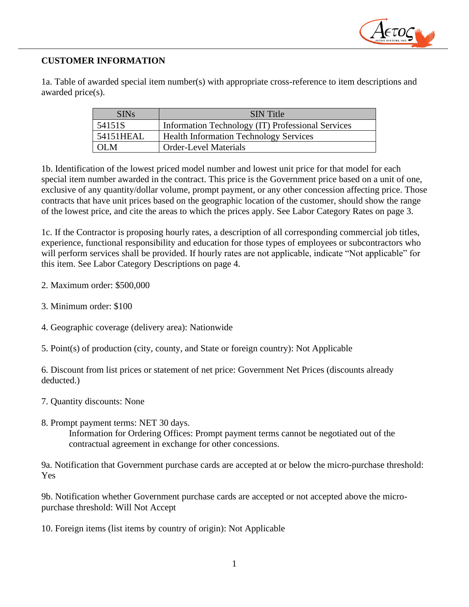

# <span id="page-2-0"></span>**CUSTOMER INFORMATION**

1a. Table of awarded special item number(s) with appropriate cross-reference to item descriptions and awarded price(s).

| <b>SINs</b> | <b>SIN</b> Title                                  |
|-------------|---------------------------------------------------|
| 54151S      | Information Technology (IT) Professional Services |
| 54151HEAL   | <b>Health Information Technology Services</b>     |
| OL M        | <b>Order-Level Materials</b>                      |

1b. Identification of the lowest priced model number and lowest unit price for that model for each special item number awarded in the contract. This price is the Government price based on a unit of one, exclusive of any quantity/dollar volume, prompt payment, or any other concession affecting price. Those contracts that have unit prices based on the geographic location of the customer, should show the range of the lowest price, and cite the areas to which the prices apply. See Labor Category Rates on page 3.

1c. If the Contractor is proposing hourly rates, a description of all corresponding commercial job titles, experience, functional responsibility and education for those types of employees or subcontractors who will perform services shall be provided. If hourly rates are not applicable, indicate "Not applicable" for this item. See Labor Category Descriptions on page 4.

- 2. Maximum order: \$500,000
- 3. Minimum order: \$100
- 4. Geographic coverage (delivery area): Nationwide
- 5. Point(s) of production (city, county, and State or foreign country): Not Applicable

6. Discount from list prices or statement of net price: Government Net Prices (discounts already deducted.)

- 7. Quantity discounts: None
- 8. Prompt payment terms: NET 30 days. Information for Ordering Offices: Prompt payment terms cannot be negotiated out of the contractual agreement in exchange for other concessions.

9a. Notification that Government purchase cards are accepted at or below the micro-purchase threshold: Yes

9b. Notification whether Government purchase cards are accepted or not accepted above the micropurchase threshold: Will Not Accept

10. Foreign items (list items by country of origin): Not Applicable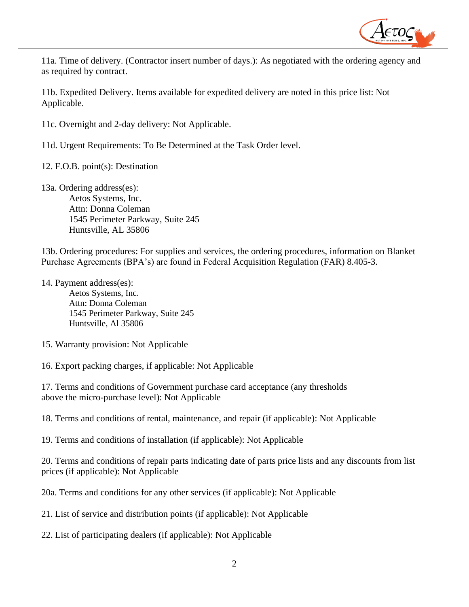

11a. Time of delivery. (Contractor insert number of days.): As negotiated with the ordering agency and as required by contract.

11b. Expedited Delivery. Items available for expedited delivery are noted in this price list: Not Applicable.

11c. Overnight and 2-day delivery: Not Applicable.

11d. Urgent Requirements: To Be Determined at the Task Order level.

12. F.O.B. point(s): Destination

13a. Ordering address(es): Aetos Systems, Inc. Attn: Donna Coleman 1545 Perimeter Parkway, Suite 245 Huntsville, AL 35806

13b. Ordering procedures: For supplies and services, the ordering procedures, information on Blanket Purchase Agreements (BPA's) are found in Federal Acquisition Regulation (FAR) 8.405-3.

14. Payment address(es):

Aetos Systems, Inc. Attn: Donna Coleman 1545 Perimeter Parkway, Suite 245 Huntsville, Al 35806

15. Warranty provision: Not Applicable

16. Export packing charges, if applicable: Not Applicable

17. Terms and conditions of Government purchase card acceptance (any thresholds above the micro-purchase level): Not Applicable

18. Terms and conditions of rental, maintenance, and repair (if applicable): Not Applicable

19. Terms and conditions of installation (if applicable): Not Applicable

20. Terms and conditions of repair parts indicating date of parts price lists and any discounts from list prices (if applicable): Not Applicable

20a. Terms and conditions for any other services (if applicable): Not Applicable

21. List of service and distribution points (if applicable): Not Applicable

22. List of participating dealers (if applicable): Not Applicable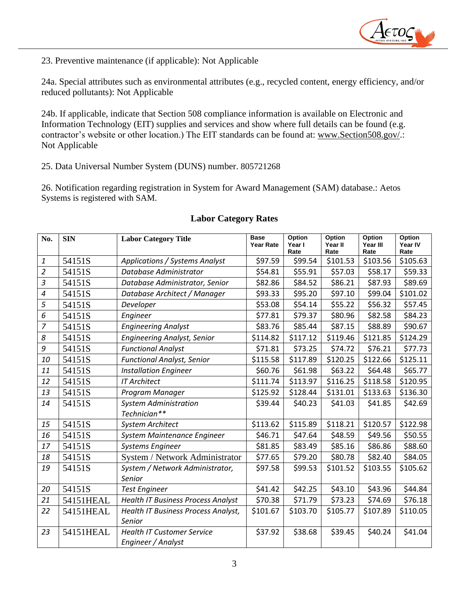

23. Preventive maintenance (if applicable): Not Applicable

24a. Special attributes such as environmental attributes (e.g., recycled content, energy efficiency, and/or reduced pollutants): Not Applicable

24b. If applicable, indicate that Section 508 compliance information is available on Electronic and Information Technology (EIT) supplies and services and show where full details can be found (e.g. contractor's website or other location.) The EIT standards can be found at: [www.Section508.gov/.](http://www.section508.gov/): Not Applicable

25. Data Universal Number System (DUNS) number. 805721268

26. Notification regarding registration in System for Award Management (SAM) database.: Aetos Systems is registered with SAM.

<span id="page-4-0"></span>

| No.            | <b>SIN</b> | <b>Labor Category Title</b>               | <b>Base</b><br><b>Year Rate</b> | Option<br>Year I<br>Rate | Option<br>Year II<br>Rate | Option<br>Year III<br>Rate | Option<br>Year IV<br>Rate |
|----------------|------------|-------------------------------------------|---------------------------------|--------------------------|---------------------------|----------------------------|---------------------------|
| $\pmb{1}$      | 54151S     | Applications / Systems Analyst            | \$97.59                         | \$99.54                  | \$101.53                  | \$103.56                   | \$105.63                  |
| $\overline{2}$ | 54151S     | Database Administrator                    | \$54.81                         | \$55.91                  | \$57.03                   | \$58.17                    | \$59.33                   |
| $\mathfrak{Z}$ | 54151S     | Database Administrator, Senior            | \$82.86                         | \$84.52                  | \$86.21                   | \$87.93                    | \$89.69                   |
| $\overline{4}$ | 54151S     | Database Architect / Manager              | \$93.33                         | \$95.20                  | \$97.10                   | \$99.04                    | \$101.02                  |
| 5              | 54151S     | Developer                                 | \$53.08                         | \$54.14                  | \$55.22                   | \$56.32                    | \$57.45                   |
| 6              | 54151S     | Engineer                                  | \$77.81                         | \$79.37                  | \$80.96                   | \$82.58                    | \$84.23                   |
| $\overline{7}$ | 54151S     | <b>Engineering Analyst</b>                | \$83.76                         | \$85.44                  | \$87.15                   | \$88.89                    | \$90.67                   |
| 8              | 54151S     | <b>Engineering Analyst, Senior</b>        | \$114.82                        | \$117.12                 | \$119.46                  | \$121.85                   | \$124.29                  |
| 9              | 54151S     | <b>Functional Analyst</b>                 | \$71.81                         | \$73.25                  | \$74.72                   | \$76.21                    | \$77.73                   |
| 10             | 54151S     | <b>Functional Analyst, Senior</b>         | \$115.58                        | \$117.89                 | \$120.25                  | \$122.66                   | \$125.11                  |
| 11             | 54151S     | <b>Installation Engineer</b>              | \$60.76                         | \$61.98                  | \$63.22                   | \$64.48                    | \$65.77                   |
| 12             | 54151S     | <b>IT Architect</b>                       | \$111.74                        | \$113.97                 | \$116.25                  | \$118.58                   | \$120.95                  |
| 13             | 54151S     | Program Manager                           | \$125.92                        | \$128.44                 | \$131.01                  | \$133.63                   | \$136.30                  |
| 14             | 54151S     | <b>System Administration</b>              | \$39.44                         | \$40.23                  | \$41.03                   | \$41.85                    | \$42.69                   |
|                |            | Technician**                              |                                 |                          |                           |                            |                           |
| 15             | 54151S     | <b>System Architect</b>                   | \$113.62                        | \$115.89                 | \$118.21                  | \$120.57                   | \$122.98                  |
| 16             | 54151S     | System Maintenance Engineer               | \$46.71                         | \$47.64                  | \$48.59                   | \$49.56                    | \$50.55                   |
| 17             | 54151S     | <b>Systems Engineer</b>                   | \$81.85                         | \$83.49                  | \$85.16                   | \$86.86                    | \$88.60                   |
| 18             | 54151S     | System / Network Administrator            | \$77.65                         | \$79.20                  | \$80.78                   | \$82.40                    | \$84.05                   |
| 19             | 54151S     | System / Network Administrator,           | \$97.58                         | \$99.53                  | \$101.52                  | \$103.55                   | \$105.62                  |
|                |            | Senior                                    |                                 |                          |                           |                            |                           |
| 20             | 54151S     | <b>Test Engineer</b>                      | \$41.42                         | \$42.25                  | \$43.10                   | \$43.96                    | \$44.84                   |
| 21             | 54151HEAL  | <b>Health IT Business Process Analyst</b> | \$70.38                         | \$71.79                  | \$73.23                   | \$74.69                    | \$76.18                   |
| 22             | 54151HEAL  | Health IT Business Process Analyst,       | \$101.67                        | \$103.70                 | \$105.77                  | \$107.89                   | \$110.05                  |
|                |            | Senior                                    |                                 |                          |                           |                            |                           |
| 23             | 54151HEAL  | <b>Health IT Customer Service</b>         | \$37.92                         | \$38.68                  | \$39.45                   | \$40.24                    | \$41.04                   |
|                |            | Engineer / Analyst                        |                                 |                          |                           |                            |                           |

#### **Labor Category Rates**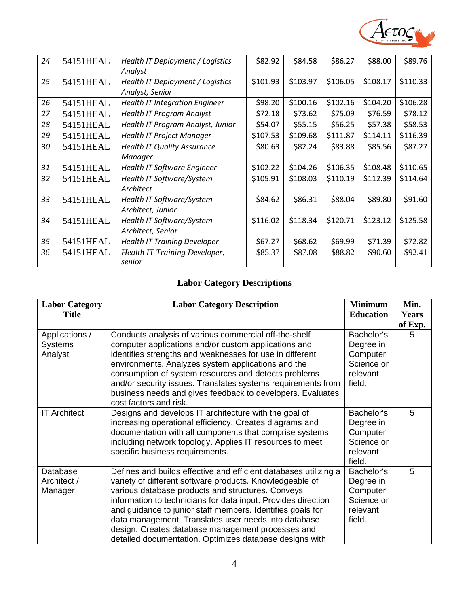

| 24 | 54151HEAL | Health IT Deployment / Logistics      | \$82.92  | \$84.58  | \$86.27  | \$88.00  | \$89.76  |
|----|-----------|---------------------------------------|----------|----------|----------|----------|----------|
|    |           | Analyst                               |          |          |          |          |          |
| 25 | 54151HEAL | Health IT Deployment / Logistics      | \$101.93 | \$103.97 | \$106.05 | \$108.17 | \$110.33 |
|    |           | Analyst, Senior                       |          |          |          |          |          |
| 26 | 54151HEAL | <b>Health IT Integration Engineer</b> | \$98.20  | \$100.16 | \$102.16 | \$104.20 | \$106.28 |
| 27 | 54151HEAL | <b>Health IT Program Analyst</b>      | \$72.18  | \$73.62  | \$75.09  | \$76.59  | \$78.12  |
| 28 | 54151HEAL | Health IT Program Analyst, Junior     | \$54.07  | \$55.15  | \$56.25  | \$57.38  | \$58.53  |
| 29 | 54151HEAL | <b>Health IT Project Manager</b>      | \$107.53 | \$109.68 | \$111.87 | \$114.11 | \$116.39 |
| 30 | 54151HEAL | <b>Health IT Quality Assurance</b>    | \$80.63  | \$82.24  | \$83.88  | \$85.56  | \$87.27  |
|    |           | Manager                               |          |          |          |          |          |
| 31 | 54151HEAL | <b>Health IT Software Engineer</b>    | \$102.22 | \$104.26 | \$106.35 | \$108.48 | \$110.65 |
| 32 | 54151HEAL | Health IT Software/System             | \$105.91 | \$108.03 | \$110.19 | \$112.39 | \$114.64 |
|    |           | Architect                             |          |          |          |          |          |
| 33 | 54151HEAL | Health IT Software/System             | \$84.62  | \$86.31  | \$88.04  | \$89.80  | \$91.60  |
|    |           | Architect, Junior                     |          |          |          |          |          |
| 34 | 54151HEAL | Health IT Software/System             | \$116.02 | \$118.34 | \$120.71 | \$123.12 | \$125.58 |
|    |           | Architect, Senior                     |          |          |          |          |          |
| 35 | 54151HEAL | <b>Health IT Training Developer</b>   | \$67.27  | \$68.62  | \$69.99  | \$71.39  | \$72.82  |
| 36 | 54151HEAL | <b>Health IT Training Developer,</b>  | \$85.37  | \$87.08  | \$88.82  | \$90.60  | \$92.41  |
|    |           | senior                                |          |          |          |          |          |

# **Labor Category Descriptions**

<span id="page-5-0"></span>

| <b>Labor Category</b><br><b>Title</b>       | <b>Labor Category Description</b>                                                                                                                                                                                                                                                                                                                                                                                                                                                        | <b>Minimum</b><br><b>Education</b>                                      | Min.<br><b>Years</b><br>of Exp. |
|---------------------------------------------|------------------------------------------------------------------------------------------------------------------------------------------------------------------------------------------------------------------------------------------------------------------------------------------------------------------------------------------------------------------------------------------------------------------------------------------------------------------------------------------|-------------------------------------------------------------------------|---------------------------------|
| Applications /<br><b>Systems</b><br>Analyst | Conducts analysis of various commercial off-the-shelf<br>computer applications and/or custom applications and<br>identifies strengths and weaknesses for use in different<br>environments. Analyzes system applications and the<br>consumption of system resources and detects problems<br>and/or security issues. Translates systems requirements from<br>business needs and gives feedback to developers. Evaluates<br>cost factors and risk.                                          | Bachelor's<br>Degree in<br>Computer<br>Science or<br>relevant<br>field. | 5                               |
| <b>IT Architect</b>                         | Designs and develops IT architecture with the goal of<br>increasing operational efficiency. Creates diagrams and<br>documentation with all components that comprise systems<br>including network topology. Applies IT resources to meet<br>specific business requirements.                                                                                                                                                                                                               | Bachelor's<br>Degree in<br>Computer<br>Science or<br>relevant<br>field. | 5                               |
| Database<br>Architect /<br>Manager          | Defines and builds effective and efficient databases utilizing a<br>variety of different software products. Knowledgeable of<br>various database products and structures. Conveys<br>information to technicians for data input. Provides direction<br>and guidance to junior staff members. Identifies goals for<br>data management. Translates user needs into database<br>design. Creates database management processes and<br>detailed documentation. Optimizes database designs with | Bachelor's<br>Degree in<br>Computer<br>Science or<br>relevant<br>field. | 5                               |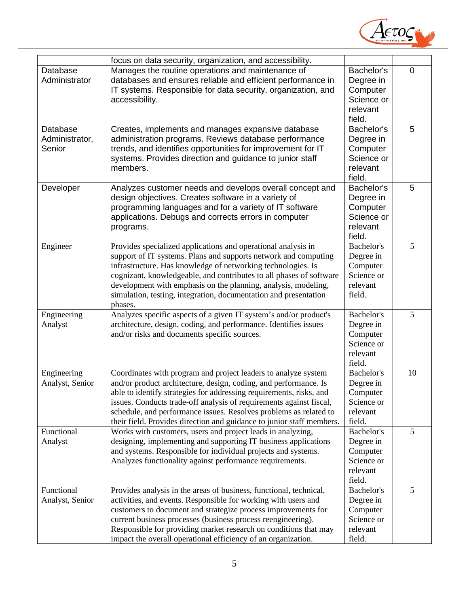

|                 | focus on data security, organization, and accessibility.              |            |                |
|-----------------|-----------------------------------------------------------------------|------------|----------------|
| Database        | Manages the routine operations and maintenance of                     | Bachelor's | $\overline{0}$ |
| Administrator   | databases and ensures reliable and efficient performance in           | Degree in  |                |
|                 | IT systems. Responsible for data security, organization, and          | Computer   |                |
|                 | accessibility.                                                        | Science or |                |
|                 |                                                                       | relevant   |                |
|                 |                                                                       | field.     |                |
| Database        | Creates, implements and manages expansive database                    | Bachelor's | 5              |
| Administrator,  | administration programs. Reviews database performance                 | Degree in  |                |
| Senior          | trends, and identifies opportunities for improvement for IT           | Computer   |                |
|                 | systems. Provides direction and guidance to junior staff              | Science or |                |
|                 | members.                                                              | relevant   |                |
|                 |                                                                       | field.     |                |
| Developer       | Analyzes customer needs and develops overall concept and              | Bachelor's | 5              |
|                 | design objectives. Creates software in a variety of                   | Degree in  |                |
|                 | programming languages and for a variety of IT software                | Computer   |                |
|                 | applications. Debugs and corrects errors in computer                  | Science or |                |
|                 | programs.                                                             | relevant   |                |
|                 |                                                                       | field.     |                |
| Engineer        | Provides specialized applications and operational analysis in         | Bachelor's | 5              |
|                 | support of IT systems. Plans and supports network and computing       | Degree in  |                |
|                 | infrastructure. Has knowledge of networking technologies. Is          | Computer   |                |
|                 | cognizant, knowledgeable, and contributes to all phases of software   | Science or |                |
|                 | development with emphasis on the planning, analysis, modeling,        | relevant   |                |
|                 | simulation, testing, integration, documentation and presentation      | field.     |                |
|                 | phases.                                                               |            |                |
| Engineering     | Analyzes specific aspects of a given IT system's and/or product's     | Bachelor's | 5              |
| Analyst         | architecture, design, coding, and performance. Identifies issues      | Degree in  |                |
|                 | and/or risks and documents specific sources.                          | Computer   |                |
|                 |                                                                       | Science or |                |
|                 |                                                                       | relevant   |                |
|                 |                                                                       | field.     |                |
| Engineering     | Coordinates with program and project leaders to analyze system        | Bachelor's | 10             |
| Analyst, Senior | and/or product architecture, design, coding, and performance. Is      | Degree in  |                |
|                 | able to identify strategies for addressing requirements, risks, and   | Computer   |                |
|                 | issues. Conducts trade-off analysis of requirements against fiscal,   | Science or |                |
|                 | schedule, and performance issues. Resolves problems as related to     | relevant   |                |
|                 | their field. Provides direction and guidance to junior staff members. | field.     |                |
| Functional      | Works with customers, users and project leads in analyzing,           | Bachelor's | 5              |
| Analyst         | designing, implementing and supporting IT business applications       | Degree in  |                |
|                 | and systems. Responsible for individual projects and systems.         | Computer   |                |
|                 | Analyzes functionality against performance requirements.              | Science or |                |
|                 |                                                                       | relevant   |                |
|                 |                                                                       | field.     |                |
| Functional      | Provides analysis in the areas of business, functional, technical,    | Bachelor's | 5              |
| Analyst, Senior | activities, and events. Responsible for working with users and        | Degree in  |                |
|                 | customers to document and strategize process improvements for         | Computer   |                |
|                 | current business processes (business process reengineering).          | Science or |                |
|                 | Responsible for providing market research on conditions that may      | relevant   |                |
|                 | impact the overall operational efficiency of an organization.         | field.     |                |
|                 |                                                                       |            |                |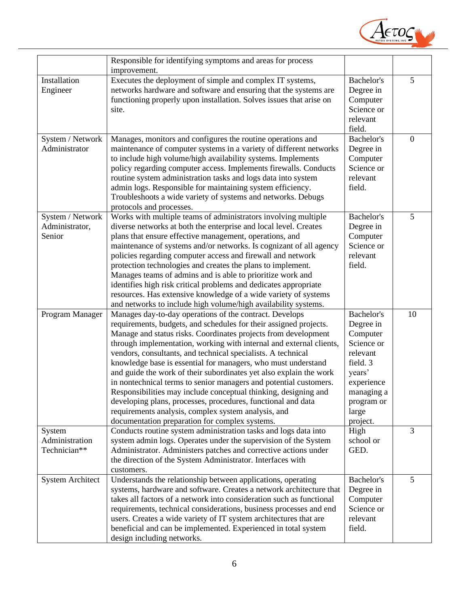

|                                              | Responsible for identifying symptoms and areas for process<br>improvement.                                                                                                                                                                                                                                                                                                                                                                                                                                                                                                                                                                                                                                                                                                                    |                                                                                                                                                    |                |
|----------------------------------------------|-----------------------------------------------------------------------------------------------------------------------------------------------------------------------------------------------------------------------------------------------------------------------------------------------------------------------------------------------------------------------------------------------------------------------------------------------------------------------------------------------------------------------------------------------------------------------------------------------------------------------------------------------------------------------------------------------------------------------------------------------------------------------------------------------|----------------------------------------------------------------------------------------------------------------------------------------------------|----------------|
| Installation<br>Engineer                     | Executes the deployment of simple and complex IT systems,<br>networks hardware and software and ensuring that the systems are<br>functioning properly upon installation. Solves issues that arise on<br>site.                                                                                                                                                                                                                                                                                                                                                                                                                                                                                                                                                                                 | Bachelor's<br>Degree in<br>Computer<br>Science or<br>relevant                                                                                      | 5              |
| System / Network<br>Administrator            | Manages, monitors and configures the routine operations and<br>maintenance of computer systems in a variety of different networks<br>to include high volume/high availability systems. Implements<br>policy regarding computer access. Implements firewalls. Conducts<br>routine system administration tasks and logs data into system<br>admin logs. Responsible for maintaining system efficiency.<br>Troubleshoots a wide variety of systems and networks. Debugs<br>protocols and processes.                                                                                                                                                                                                                                                                                              | field.<br><b>Bachelor's</b><br>Degree in<br>Computer<br>Science or<br>relevant<br>field.                                                           | $\overline{0}$ |
| System / Network<br>Administrator,<br>Senior | Works with multiple teams of administrators involving multiple<br>diverse networks at both the enterprise and local level. Creates<br>plans that ensure effective management, operations, and<br>maintenance of systems and/or networks. Is cognizant of all agency<br>policies regarding computer access and firewall and network<br>protection technologies and creates the plans to implement.<br>Manages teams of admins and is able to prioritize work and<br>identifies high risk critical problems and dedicates appropriate<br>resources. Has extensive knowledge of a wide variety of systems<br>and networks to include high volume/high availability systems.                                                                                                                      | Bachelor's<br>Degree in<br>Computer<br>Science or<br>relevant<br>field.                                                                            | 5              |
| Program Manager                              | Manages day-to-day operations of the contract. Develops<br>requirements, budgets, and schedules for their assigned projects.<br>Manage and status risks. Coordinates projects from development<br>through implementation, working with internal and external clients,<br>vendors, consultants, and technical specialists. A technical<br>knowledge base is essential for managers, who must understand<br>and guide the work of their subordinates yet also explain the work<br>in nontechnical terms to senior managers and potential customers.<br>Responsibilities may include conceptual thinking, designing and<br>developing plans, processes, procedures, functional and data<br>requirements analysis, complex system analysis, and<br>documentation preparation for complex systems. | Bachelor's<br>Degree in<br>Computer<br>Science or<br>relevant<br>field. 3<br>years'<br>experience<br>managing a<br>program or<br>large<br>project. | 10             |
| System<br>Administration<br>Technician**     | Conducts routine system administration tasks and logs data into<br>system admin logs. Operates under the supervision of the System<br>Administrator. Administers patches and corrective actions under<br>the direction of the System Administrator. Interfaces with<br>customers.                                                                                                                                                                                                                                                                                                                                                                                                                                                                                                             | High<br>school or<br>GED.                                                                                                                          | 3              |
| <b>System Architect</b>                      | Understands the relationship between applications, operating<br>systems, hardware and software. Creates a network architecture that<br>takes all factors of a network into consideration such as functional<br>requirements, technical considerations, business processes and end<br>users. Creates a wide variety of IT system architectures that are<br>beneficial and can be implemented. Experienced in total system<br>design including networks.                                                                                                                                                                                                                                                                                                                                        | Bachelor's<br>Degree in<br>Computer<br>Science or<br>relevant<br>field.                                                                            | 5              |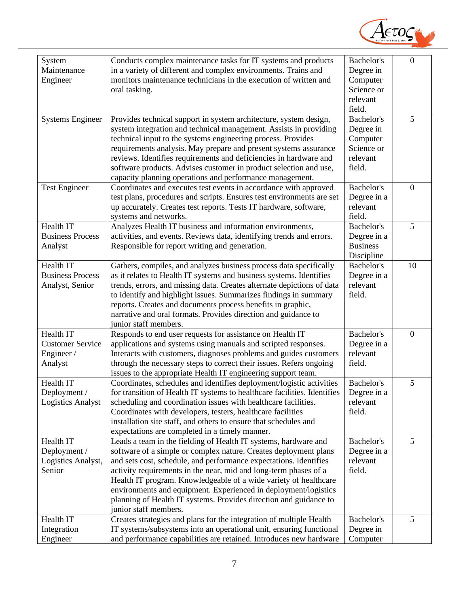

| System                   | Conducts complex maintenance tasks for IT systems and products           | Bachelor's        | $\overline{0}$ |
|--------------------------|--------------------------------------------------------------------------|-------------------|----------------|
| Maintenance              | in a variety of different and complex environments. Trains and           | Degree in         |                |
| Engineer                 | monitors maintenance technicians in the execution of written and         | Computer          |                |
|                          | oral tasking.                                                            | Science or        |                |
|                          |                                                                          | relevant          |                |
|                          |                                                                          | field.            |                |
| <b>Systems Engineer</b>  | Provides technical support in system architecture, system design,        | Bachelor's        | 5              |
|                          | system integration and technical management. Assists in providing        | Degree in         |                |
|                          | technical input to the systems engineering process. Provides             | Computer          |                |
|                          | requirements analysis. May prepare and present systems assurance         | Science or        |                |
|                          | reviews. Identifies requirements and deficiencies in hardware and        | relevant          |                |
|                          | software products. Advises customer in product selection and use,        | field.            |                |
|                          | capacity planning operations and performance management.                 |                   |                |
| <b>Test Engineer</b>     | Coordinates and executes test events in accordance with approved         | <b>Bachelor's</b> | $\overline{0}$ |
|                          | test plans, procedures and scripts. Ensures test environments are set    | Degree in a       |                |
|                          | up accurately. Creates test reports. Tests IT hardware, software,        | relevant          |                |
|                          | systems and networks.                                                    | field.            |                |
| Health IT                | Analyzes Health IT business and information environments,                | Bachelor's        | 5              |
| <b>Business Process</b>  | activities, and events. Reviews data, identifying trends and errors.     | Degree in a       |                |
| Analyst                  | Responsible for report writing and generation.                           | <b>Business</b>   |                |
|                          |                                                                          | Discipline        |                |
| Health IT                | Gathers, compiles, and analyzes business process data specifically       | Bachelor's        | 10             |
| <b>Business Process</b>  | as it relates to Health IT systems and business systems. Identifies      | Degree in a       |                |
| Analyst, Senior          | trends, errors, and missing data. Creates alternate depictions of data   | relevant          |                |
|                          | to identify and highlight issues. Summarizes findings in summary         | field.            |                |
|                          | reports. Creates and documents process benefits in graphic,              |                   |                |
|                          | narrative and oral formats. Provides direction and guidance to           |                   |                |
|                          | junior staff members.                                                    |                   |                |
| Health IT                | Responds to end user requests for assistance on Health IT                | Bachelor's        | $\overline{0}$ |
| <b>Customer Service</b>  | applications and systems using manuals and scripted responses.           | Degree in a       |                |
| Engineer/                | Interacts with customers, diagnoses problems and guides customers        | relevant          |                |
| Analyst                  | through the necessary steps to correct their issues. Refers ongoing      | field.            |                |
|                          | issues to the appropriate Health IT engineering support team.            |                   |                |
| Health IT                | Coordinates, schedules and identifies deployment/logistic activities     | Bachelor's        | 5              |
| Deployment /             | for transition of Health IT systems to healthcare facilities. Identifies | Degree in a       |                |
| <b>Logistics Analyst</b> | scheduling and coordination issues with healthcare facilities.           | relevant          |                |
|                          | Coordinates with developers, testers, healthcare facilities              | field.            |                |
|                          | installation site staff, and others to ensure that schedules and         |                   |                |
|                          |                                                                          |                   |                |
| Health IT                | expectations are completed in a timely manner.                           | Bachelor's        | 5              |
|                          | Leads a team in the fielding of Health IT systems, hardware and          |                   |                |
| Deployment /             | software of a simple or complex nature. Creates deployment plans         | Degree in a       |                |
| Logistics Analyst,       | and sets cost, schedule, and performance expectations. Identifies        | relevant          |                |
| Senior                   | activity requirements in the near, mid and long-term phases of a         | field.            |                |
|                          | Health IT program. Knowledgeable of a wide variety of healthcare         |                   |                |
|                          | environments and equipment. Experienced in deployment/logistics          |                   |                |
|                          | planning of Health IT systems. Provides direction and guidance to        |                   |                |
|                          | junior staff members.                                                    |                   |                |
| Health IT                | Creates strategies and plans for the integration of multiple Health      | Bachelor's        | 5              |
| Integration              | IT systems/subsystems into an operational unit, ensuring functional      | Degree in         |                |
| Engineer                 | and performance capabilities are retained. Introduces new hardware       | Computer          |                |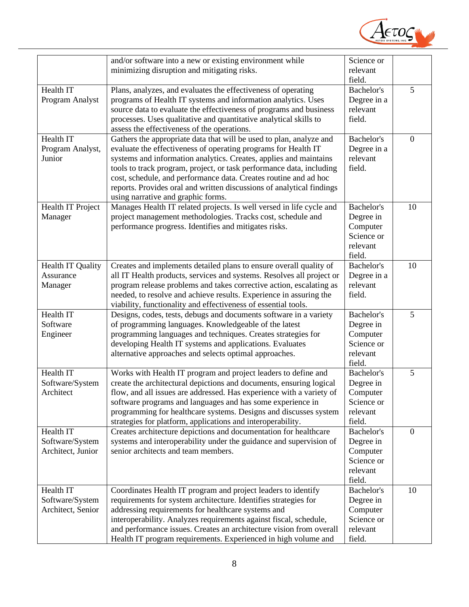

|                   | and/or software into a new or existing environment while              | Science or        |                |
|-------------------|-----------------------------------------------------------------------|-------------------|----------------|
|                   | minimizing disruption and mitigating risks.                           | relevant          |                |
|                   |                                                                       | field.            |                |
| Health IT         | Plans, analyzes, and evaluates the effectiveness of operating         | Bachelor's        | 5              |
| Program Analyst   | programs of Health IT systems and information analytics. Uses         | Degree in a       |                |
|                   |                                                                       |                   |                |
|                   | source data to evaluate the effectiveness of programs and business    | relevant          |                |
|                   | processes. Uses qualitative and quantitative analytical skills to     | field.            |                |
|                   | assess the effectiveness of the operations.                           |                   |                |
| Health IT         | Gathers the appropriate data that will be used to plan, analyze and   | Bachelor's        | $\mathbf{0}$   |
| Program Analyst,  | evaluate the effectiveness of operating programs for Health IT        | Degree in a       |                |
| Junior            | systems and information analytics. Creates, applies and maintains     | relevant          |                |
|                   |                                                                       |                   |                |
|                   | tools to track program, project, or task performance data, including  | field.            |                |
|                   | cost, schedule, and performance data. Creates routine and ad hoc      |                   |                |
|                   | reports. Provides oral and written discussions of analytical findings |                   |                |
|                   | using narrative and graphic forms.                                    |                   |                |
| Health IT Project | Manages Health IT related projects. Is well versed in life cycle and  | <b>Bachelor's</b> | 10             |
| Manager           | project management methodologies. Tracks cost, schedule and           | Degree in         |                |
|                   |                                                                       |                   |                |
|                   | performance progress. Identifies and mitigates risks.                 | Computer          |                |
|                   |                                                                       | Science or        |                |
|                   |                                                                       | relevant          |                |
|                   |                                                                       | field.            |                |
| Health IT Quality | Creates and implements detailed plans to ensure overall quality of    | Bachelor's        | 10             |
| Assurance         | all IT Health products, services and systems. Resolves all project or | Degree in a       |                |
|                   | program release problems and takes corrective action, escalating as   | relevant          |                |
| Manager           |                                                                       |                   |                |
|                   | needed, to resolve and achieve results. Experience in assuring the    | field.            |                |
|                   | viability, functionality and effectiveness of essential tools.        |                   |                |
| Health IT         | Designs, codes, tests, debugs and documents software in a variety     | Bachelor's        | 5              |
| Software          | of programming languages. Knowledgeable of the latest                 | Degree in         |                |
| Engineer          | programming languages and techniques. Creates strategies for          | Computer          |                |
|                   | developing Health IT systems and applications. Evaluates              | Science or        |                |
|                   | alternative approaches and selects optimal approaches.                | relevant          |                |
|                   |                                                                       |                   |                |
|                   |                                                                       | field.            |                |
| Health IT         | Works with Health IT program and project leaders to define and        | Bachelor's        | 5              |
| Software/System   | create the architectural depictions and documents, ensuring logical   | Degree in         |                |
| Architect         | flow, and all issues are addressed. Has experience with a variety of  | Computer          |                |
|                   | software programs and languages and has some experience in            | Science or        |                |
|                   | programming for healthcare systems. Designs and discusses system      | relevant          |                |
|                   | strategies for platform, applications and interoperability.           | field.            |                |
|                   |                                                                       |                   |                |
| Health IT         | Creates architecture depictions and documentation for healthcare      | Bachelor's        | $\overline{0}$ |
| Software/System   | systems and interoperability under the guidance and supervision of    | Degree in         |                |
| Architect, Junior | senior architects and team members.                                   | Computer          |                |
|                   |                                                                       | Science or        |                |
|                   |                                                                       | relevant          |                |
|                   |                                                                       | field.            |                |
| Health IT         | Coordinates Health IT program and project leaders to identify         | Bachelor's        | 10             |
|                   |                                                                       |                   |                |
| Software/System   | requirements for system architecture. Identifies strategies for       | Degree in         |                |
| Architect, Senior | addressing requirements for healthcare systems and                    | Computer          |                |
|                   | interoperability. Analyzes requirements against fiscal, schedule,     | Science or        |                |
|                   | and performance issues. Creates an architecture vision from overall   | relevant          |                |
|                   | Health IT program requirements. Experienced in high volume and        | field.            |                |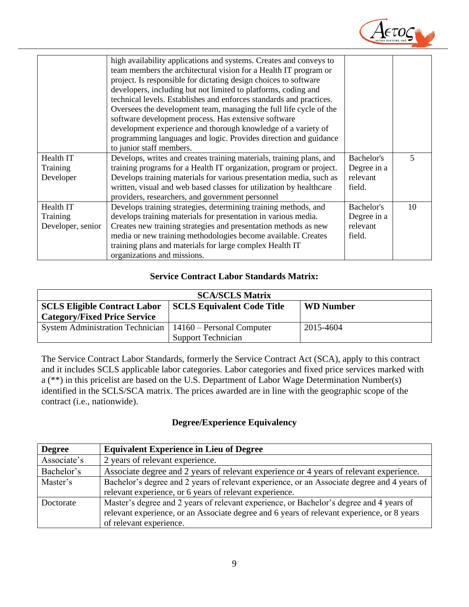

|                   | high availability applications and systems. Creates and conveys to<br>team members the architectural vision for a Health IT program or<br>project. Is responsible for dictating design choices to software<br>developers, including but not limited to platforms, coding and<br>technical levels. Establishes and enforces standards and practices.<br>Oversees the development team, managing the full life cycle of the<br>software development process. Has extensive software<br>development experience and thorough knowledge of a variety of<br>programming languages and logic. Provides direction and guidance<br>to junior staff members. |             |    |
|-------------------|----------------------------------------------------------------------------------------------------------------------------------------------------------------------------------------------------------------------------------------------------------------------------------------------------------------------------------------------------------------------------------------------------------------------------------------------------------------------------------------------------------------------------------------------------------------------------------------------------------------------------------------------------|-------------|----|
| Health IT         | Develops, writes and creates training materials, training plans, and                                                                                                                                                                                                                                                                                                                                                                                                                                                                                                                                                                               | Bachelor's  | 5  |
| Training          | training programs for a Health IT organization, program or project.                                                                                                                                                                                                                                                                                                                                                                                                                                                                                                                                                                                | Degree in a |    |
| Developer         | Develops training materials for various presentation media, such as                                                                                                                                                                                                                                                                                                                                                                                                                                                                                                                                                                                | relevant    |    |
|                   | written, visual and web based classes for utilization by healthcare                                                                                                                                                                                                                                                                                                                                                                                                                                                                                                                                                                                | field.      |    |
|                   | providers, researchers, and government personnel                                                                                                                                                                                                                                                                                                                                                                                                                                                                                                                                                                                                   |             |    |
| Health IT         | Develops training strategies, determining training methods, and                                                                                                                                                                                                                                                                                                                                                                                                                                                                                                                                                                                    | Bachelor's  | 10 |
| Training          | develops training materials for presentation in various media.                                                                                                                                                                                                                                                                                                                                                                                                                                                                                                                                                                                     | Degree in a |    |
| Developer, senior | Creates new training strategies and presentation methods as new                                                                                                                                                                                                                                                                                                                                                                                                                                                                                                                                                                                    | relevant    |    |
|                   | media or new training methodologies become available. Creates                                                                                                                                                                                                                                                                                                                                                                                                                                                                                                                                                                                      | field.      |    |
|                   | training plans and materials for large complex Health IT                                                                                                                                                                                                                                                                                                                                                                                                                                                                                                                                                                                           |             |    |
|                   | organizations and missions.                                                                                                                                                                                                                                                                                                                                                                                                                                                                                                                                                                                                                        |             |    |

## **Service Contract Labor Standards Matrix:**

<span id="page-10-0"></span>

| <b>SCA/SCLS Matrix</b>                                                                       |                    |           |  |
|----------------------------------------------------------------------------------------------|--------------------|-----------|--|
| <b>SCLS Equivalent Code Title</b><br><b>SCLS Eligible Contract Labor</b><br><b>WD</b> Number |                    |           |  |
| <b>Category/Fixed Price Service</b>                                                          |                    |           |  |
| System Administration Technician   14160 – Personal Computer                                 |                    | 2015-4604 |  |
|                                                                                              | Support Technician |           |  |

The Service Contract Labor Standards, formerly the Service Contract Act (SCA), apply to this contract and it includes SCLS applicable labor categories. Labor categories and fixed price services marked with a (\*\*) in this pricelist are based on the U.S. Department of Labor Wage Determination Number(s) identified in the SCLS/SCA matrix. The prices awarded are in line with the geographic scope of the contract (i.e., nationwide).

## **Degree/Experience Equivalency**

<span id="page-10-1"></span>

| <b>Degree</b> | <b>Equivalent Experience in Lieu of Degree</b>                                              |
|---------------|---------------------------------------------------------------------------------------------|
| Associate's   | 2 years of relevant experience.                                                             |
| Bachelor's    | Associate degree and 2 years of relevant experience or 4 years of relevant experience.      |
| Master's      | Bachelor's degree and 2 years of relevant experience, or an Associate degree and 4 years of |
|               | relevant experience, or 6 years of relevant experience.                                     |
| Doctorate     | Master's degree and 2 years of relevant experience, or Bachelor's degree and 4 years of     |
|               | relevant experience, or an Associate degree and 6 years of relevant experience, or 8 years  |
|               | of relevant experience.                                                                     |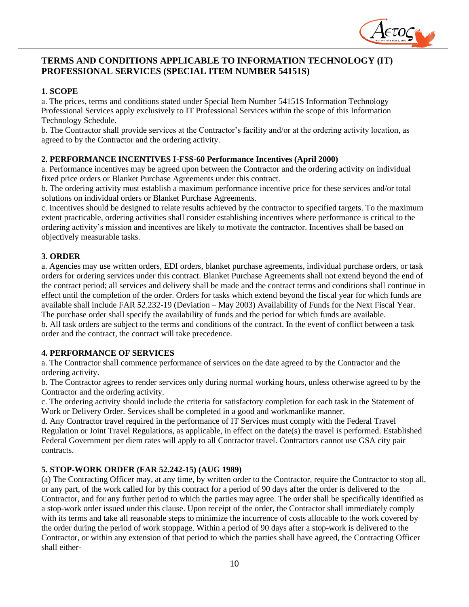

## <span id="page-11-0"></span>**TERMS AND CONDITIONS APPLICABLE TO INFORMATION TECHNOLOGY (IT) PROFESSIONAL SERVICES (SPECIAL ITEM NUMBER 54151S)**

#### **1. SCOPE**

a. The prices, terms and conditions stated under Special Item Number 54151S Information Technology Professional Services apply exclusively to IT Professional Services within the scope of this Information Technology Schedule.

b. The Contractor shall provide services at the Contractor's facility and/or at the ordering activity location, as agreed to by the Contractor and the ordering activity.

#### **2. PERFORMANCE INCENTIVES I-FSS-60 Performance Incentives (April 2000)**

a. Performance incentives may be agreed upon between the Contractor and the ordering activity on individual fixed price orders or Blanket Purchase Agreements under this contract.

b. The ordering activity must establish a maximum performance incentive price for these services and/or total solutions on individual orders or Blanket Purchase Agreements.

c. Incentives should be designed to relate results achieved by the contractor to specified targets. To the maximum extent practicable, ordering activities shall consider establishing incentives where performance is critical to the ordering activity's mission and incentives are likely to motivate the contractor. Incentives shall be based on objectively measurable tasks.

#### **3. ORDER**

a. Agencies may use written orders, EDI orders, blanket purchase agreements, individual purchase orders, or task orders for ordering services under this contract. Blanket Purchase Agreements shall not extend beyond the end of the contract period; all services and delivery shall be made and the contract terms and conditions shall continue in effect until the completion of the order. Orders for tasks which extend beyond the fiscal year for which funds are available shall include FAR 52.232-19 (Deviation – May 2003) Availability of Funds for the Next Fiscal Year. The purchase order shall specify the availability of funds and the period for which funds are available. b. All task orders are subject to the terms and conditions of the contract. In the event of conflict between a task

#### **4. PERFORMANCE OF SERVICES**

order and the contract, the contract will take precedence.

a. The Contractor shall commence performance of services on the date agreed to by the Contractor and the ordering activity.

b. The Contractor agrees to render services only during normal working hours, unless otherwise agreed to by the Contractor and the ordering activity.

c. The ordering activity should include the criteria for satisfactory completion for each task in the Statement of Work or Delivery Order. Services shall be completed in a good and workmanlike manner.

d. Any Contractor travel required in the performance of IT Services must comply with the Federal Travel Regulation or Joint Travel Regulations, as applicable, in effect on the date(s) the travel is performed. Established Federal Government per diem rates will apply to all Contractor travel. Contractors cannot use GSA city pair contracts.

#### **5. STOP-WORK ORDER (FAR 52.242-15) (AUG 1989)**

(a) The Contracting Officer may, at any time, by written order to the Contractor, require the Contractor to stop all, or any part, of the work called for by this contract for a period of 90 days after the order is delivered to the Contractor, and for any further period to which the parties may agree. The order shall be specifically identified as a stop-work order issued under this clause. Upon receipt of the order, the Contractor shall immediately comply with its terms and take all reasonable steps to minimize the incurrence of costs allocable to the work covered by the order during the period of work stoppage. Within a period of 90 days after a stop-work is delivered to the Contractor, or within any extension of that period to which the parties shall have agreed, the Contracting Officer shall either-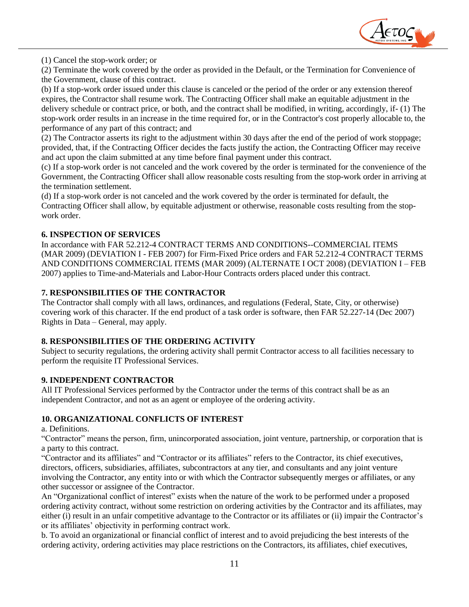

(1) Cancel the stop-work order; or

(2) Terminate the work covered by the order as provided in the Default, or the Termination for Convenience of the Government, clause of this contract.

(b) If a stop-work order issued under this clause is canceled or the period of the order or any extension thereof expires, the Contractor shall resume work. The Contracting Officer shall make an equitable adjustment in the delivery schedule or contract price, or both, and the contract shall be modified, in writing, accordingly, if- (1) The stop-work order results in an increase in the time required for, or in the Contractor's cost properly allocable to, the performance of any part of this contract; and

(2) The Contractor asserts its right to the adjustment within 30 days after the end of the period of work stoppage; provided, that, if the Contracting Officer decides the facts justify the action, the Contracting Officer may receive and act upon the claim submitted at any time before final payment under this contract.

(c) If a stop-work order is not canceled and the work covered by the order is terminated for the convenience of the Government, the Contracting Officer shall allow reasonable costs resulting from the stop-work order in arriving at the termination settlement.

(d) If a stop-work order is not canceled and the work covered by the order is terminated for default, the Contracting Officer shall allow, by equitable adjustment or otherwise, reasonable costs resulting from the stopwork order.

#### **6. INSPECTION OF SERVICES**

In accordance with FAR 52.212-4 CONTRACT TERMS AND CONDITIONS--COMMERCIAL ITEMS (MAR 2009) (DEVIATION I - FEB 2007) for Firm-Fixed Price orders and FAR 52.212-4 CONTRACT TERMS AND CONDITIONS COMMERCIAL ITEMS (MAR 2009) (ALTERNATE I OCT 2008) (DEVIATION I – FEB 2007) applies to Time-and-Materials and Labor-Hour Contracts orders placed under this contract.

#### **7. RESPONSIBILITIES OF THE CONTRACTOR**

The Contractor shall comply with all laws, ordinances, and regulations (Federal, State, City, or otherwise) covering work of this character. If the end product of a task order is software, then FAR 52.227-14 (Dec 2007) Rights in Data – General, may apply.

#### **8. RESPONSIBILITIES OF THE ORDERING ACTIVITY**

Subject to security regulations, the ordering activity shall permit Contractor access to all facilities necessary to perform the requisite IT Professional Services.

#### **9. INDEPENDENT CONTRACTOR**

All IT Professional Services performed by the Contractor under the terms of this contract shall be as an independent Contractor, and not as an agent or employee of the ordering activity.

#### **10. ORGANIZATIONAL CONFLICTS OF INTEREST**

a. Definitions.

"Contractor" means the person, firm, unincorporated association, joint venture, partnership, or corporation that is a party to this contract.

"Contractor and its affiliates" and "Contractor or its affiliates" refers to the Contractor, its chief executives, directors, officers, subsidiaries, affiliates, subcontractors at any tier, and consultants and any joint venture involving the Contractor, any entity into or with which the Contractor subsequently merges or affiliates, or any other successor or assignee of the Contractor.

An "Organizational conflict of interest" exists when the nature of the work to be performed under a proposed ordering activity contract, without some restriction on ordering activities by the Contractor and its affiliates, may either (i) result in an unfair competitive advantage to the Contractor or its affiliates or (ii) impair the Contractor's or its affiliates' objectivity in performing contract work.

b. To avoid an organizational or financial conflict of interest and to avoid prejudicing the best interests of the ordering activity, ordering activities may place restrictions on the Contractors, its affiliates, chief executives,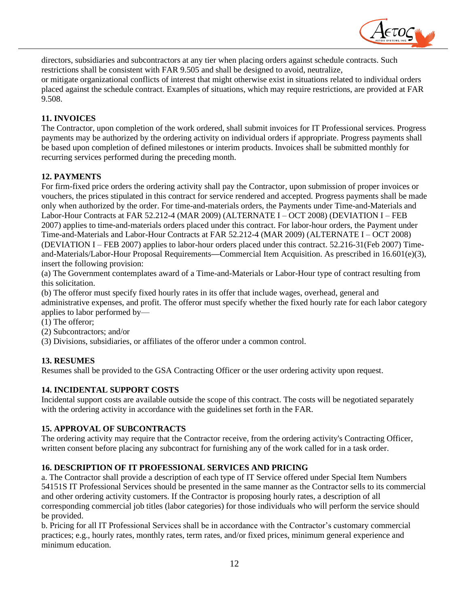

directors, subsidiaries and subcontractors at any tier when placing orders against schedule contracts. Such restrictions shall be consistent with FAR 9.505 and shall be designed to avoid, neutralize, or mitigate organizational conflicts of interest that might otherwise exist in situations related to individual orders placed against the schedule contract. Examples of situations, which may require restrictions, are provided at FAR 9.508.

#### **11. INVOICES**

The Contractor, upon completion of the work ordered, shall submit invoices for IT Professional services. Progress payments may be authorized by the ordering activity on individual orders if appropriate. Progress payments shall be based upon completion of defined milestones or interim products. Invoices shall be submitted monthly for recurring services performed during the preceding month.

#### **12. PAYMENTS**

For firm-fixed price orders the ordering activity shall pay the Contractor, upon submission of proper invoices or vouchers, the prices stipulated in this contract for service rendered and accepted. Progress payments shall be made only when authorized by the order. For time-and-materials orders, the Payments under Time-and-Materials and Labor-Hour Contracts at FAR 52.212-4 (MAR 2009) (ALTERNATE I – OCT 2008) (DEVIATION I – FEB 2007) applies to time-and-materials orders placed under this contract. For labor-hour orders, the Payment under Time-and-Materials and Labor-Hour Contracts at FAR 52.212-4 (MAR 2009) (ALTERNATE I – OCT 2008) (DEVIATION I – FEB 2007) applies to labor-hour orders placed under this contract. 52.216-31(Feb 2007) Timeand-Materials/Labor-Hour Proposal Requirements**—**Commercial Item Acquisition. As prescribed in 16.601(e)(3), insert the following provision:

(a) The Government contemplates award of a Time-and-Materials or Labor-Hour type of contract resulting from this solicitation.

(b) The offeror must specify fixed hourly rates in its offer that include wages, overhead, general and administrative expenses, and profit. The offeror must specify whether the fixed hourly rate for each labor category applies to labor performed by—

(1) The offeror;

(2) Subcontractors; and/or

(3) Divisions, subsidiaries, or affiliates of the offeror under a common control.

#### **13. RESUMES**

Resumes shall be provided to the GSA Contracting Officer or the user ordering activity upon request.

#### **14. INCIDENTAL SUPPORT COSTS**

Incidental support costs are available outside the scope of this contract. The costs will be negotiated separately with the ordering activity in accordance with the guidelines set forth in the FAR.

#### **15. APPROVAL OF SUBCONTRACTS**

The ordering activity may require that the Contractor receive, from the ordering activity's Contracting Officer, written consent before placing any subcontract for furnishing any of the work called for in a task order.

#### **16. DESCRIPTION OF IT PROFESSIONAL SERVICES AND PRICING**

a. The Contractor shall provide a description of each type of IT Service offered under Special Item Numbers 54151S IT Professional Services should be presented in the same manner as the Contractor sells to its commercial and other ordering activity customers. If the Contractor is proposing hourly rates, a description of all corresponding commercial job titles (labor categories) for those individuals who will perform the service should be provided.

b. Pricing for all IT Professional Services shall be in accordance with the Contractor's customary commercial practices; e.g., hourly rates, monthly rates, term rates, and/or fixed prices, minimum general experience and minimum education.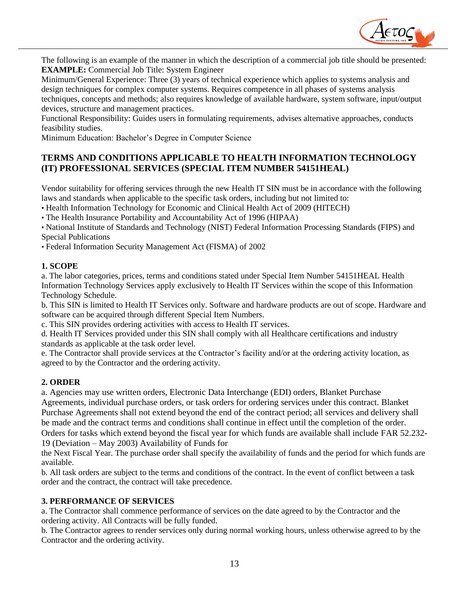

The following is an example of the manner in which the description of a commercial job title should be presented: **EXAMPLE:** Commercial Job Title: System Engineer

Minimum/General Experience: Three (3) years of technical experience which applies to systems analysis and design techniques for complex computer systems. Requires competence in all phases of systems analysis techniques, concepts and methods; also requires knowledge of available hardware, system software, input/output devices, structure and management practices.

Functional Responsibility: Guides users in formulating requirements, advises alternative approaches, conducts feasibility studies.

Minimum Education: Bachelor's Degree in Computer Science

# <span id="page-14-0"></span>**TERMS AND CONDITIONS APPLICABLE TO HEALTH INFORMATION TECHNOLOGY (IT) PROFESSIONAL SERVICES (SPECIAL ITEM NUMBER 54151HEAL)**

Vendor suitability for offering services through the new Health IT SIN must be in accordance with the following laws and standards when applicable to the specific task orders, including but not limited to:

• Health Information Technology for Economic and Clinical Health Act of 2009 (HITECH)

• The Health Insurance Portability and Accountability Act of 1996 (HIPAA)

• National Institute of Standards and Technology (NIST) Federal Information Processing Standards (FIPS) and Special Publications

• Federal Information Security Management Act (FISMA) of 2002

#### **1. SCOPE**

a. The labor categories, prices, terms and conditions stated under Special Item Number 54151HEAL Health Information Technology Services apply exclusively to Health IT Services within the scope of this Information Technology Schedule.

b. This SIN is limited to Health IT Services only. Software and hardware products are out of scope. Hardware and software can be acquired through different Special Item Numbers.

c. This SIN provides ordering activities with access to Health IT services.

d. Health IT Services provided under this SIN shall comply with all Healthcare certifications and industry standards as applicable at the task order level.

e. The Contractor shall provide services at the Contractor's facility and/or at the ordering activity location, as agreed to by the Contractor and the ordering activity.

#### **2. ORDER**

a. Agencies may use written orders, Electronic Data Interchange (EDI) orders, Blanket Purchase

Agreements, individual purchase orders, or task orders for ordering services under this contract. Blanket Purchase Agreements shall not extend beyond the end of the contract period; all services and delivery shall be made and the contract terms and conditions shall continue in effect until the completion of the order. Orders for tasks which extend beyond the fiscal year for which funds are available shall include FAR 52.232- 19 (Deviation – May 2003) Availability of Funds for

the Next Fiscal Year. The purchase order shall specify the availability of funds and the period for which funds are available.

b. All task orders are subject to the terms and conditions of the contract. In the event of conflict between a task order and the contract, the contract will take precedence.

#### **3. PERFORMANCE OF SERVICES**

a. The Contractor shall commence performance of services on the date agreed to by the Contractor and the ordering activity. All Contracts will be fully funded.

b. The Contractor agrees to render services only during normal working hours, unless otherwise agreed to by the Contractor and the ordering activity.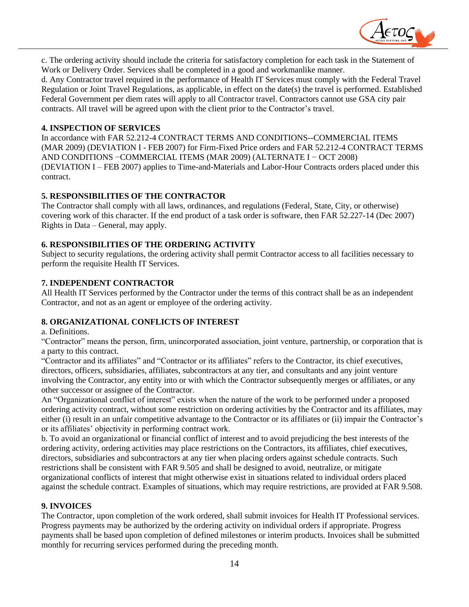

c. The ordering activity should include the criteria for satisfactory completion for each task in the Statement of Work or Delivery Order. Services shall be completed in a good and workmanlike manner.

d. Any Contractor travel required in the performance of Health IT Services must comply with the Federal Travel Regulation or Joint Travel Regulations, as applicable, in effect on the date(s) the travel is performed. Established Federal Government per diem rates will apply to all Contractor travel. Contractors cannot use GSA city pair contracts. All travel will be agreed upon with the client prior to the Contractor's travel.

#### **4. INSPECTION OF SERVICES**

In accordance with FAR 52.212-4 CONTRACT TERMS AND CONDITIONS--COMMERCIAL ITEMS (MAR 2009) (DEVIATION I - FEB 2007) for Firm-Fixed Price orders and FAR 52.212-4 CONTRACT TERMS AND CONDITIONS −COMMERCIAL ITEMS (MAR 2009) (ALTERNATE I − OCT 2008) (DEVIATION I – FEB 2007) applies to Time-and-Materials and Labor-Hour Contracts orders placed under this contract.

#### **5. RESPONSIBILITIES OF THE CONTRACTOR**

The Contractor shall comply with all laws, ordinances, and regulations (Federal, State, City, or otherwise) covering work of this character. If the end product of a task order is software, then FAR 52.227-14 (Dec 2007) Rights in Data – General, may apply.

#### **6. RESPONSIBILITIES OF THE ORDERING ACTIVITY**

Subject to security regulations, the ordering activity shall permit Contractor access to all facilities necessary to perform the requisite Health IT Services.

#### **7. INDEPENDENT CONTRACTOR**

All Health IT Services performed by the Contractor under the terms of this contract shall be as an independent Contractor, and not as an agent or employee of the ordering activity.

#### **8. ORGANIZATIONAL CONFLICTS OF INTEREST**

a. Definitions.

"Contractor" means the person, firm, unincorporated association, joint venture, partnership, or corporation that is a party to this contract.

"Contractor and its affiliates" and "Contractor or its affiliates" refers to the Contractor, its chief executives, directors, officers, subsidiaries, affiliates, subcontractors at any tier, and consultants and any joint venture involving the Contractor, any entity into or with which the Contractor subsequently merges or affiliates, or any other successor or assignee of the Contractor.

An "Organizational conflict of interest" exists when the nature of the work to be performed under a proposed ordering activity contract, without some restriction on ordering activities by the Contractor and its affiliates, may either (i) result in an unfair competitive advantage to the Contractor or its affiliates or (ii) impair the Contractor's or its affiliates' objectivity in performing contract work.

b. To avoid an organizational or financial conflict of interest and to avoid prejudicing the best interests of the ordering activity, ordering activities may place restrictions on the Contractors, its affiliates, chief executives, directors, subsidiaries and subcontractors at any tier when placing orders against schedule contracts. Such restrictions shall be consistent with FAR 9.505 and shall be designed to avoid, neutralize, or mitigate organizational conflicts of interest that might otherwise exist in situations related to individual orders placed against the schedule contract. Examples of situations, which may require restrictions, are provided at FAR 9.508.

#### **9. INVOICES**

The Contractor, upon completion of the work ordered, shall submit invoices for Health IT Professional services. Progress payments may be authorized by the ordering activity on individual orders if appropriate. Progress payments shall be based upon completion of defined milestones or interim products. Invoices shall be submitted monthly for recurring services performed during the preceding month.